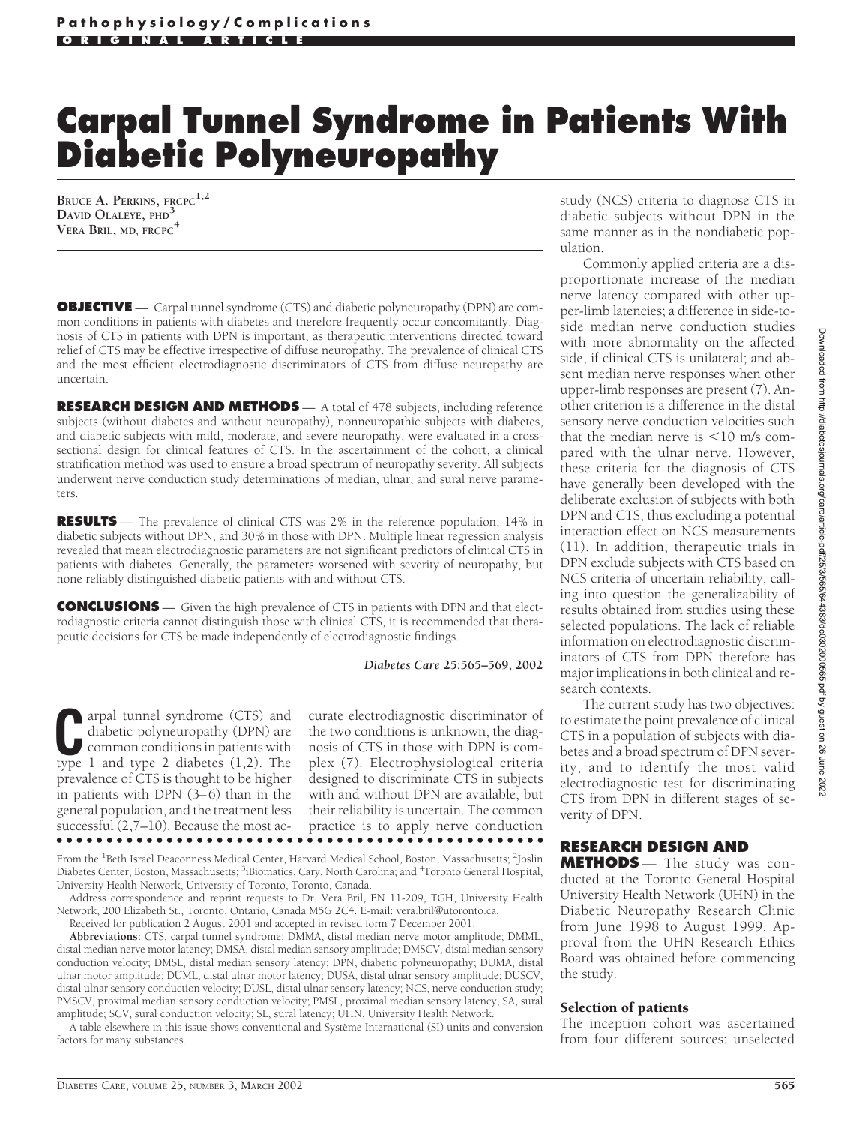# **Carpal Tunnel Syndrome in Patients With Diabetic Polyneuropathy**

**BRUCE A. PERKINS, FRCPC1,2 DAVID OLALEYE, PHD<sup>3</sup> VERA BRIL, MD, FRCPC<sup>4</sup>**

study (NCS) criteria to diagnose CTS in diabetic subjects without DPN in the same manner as in the nondiabetic population.

**OBJECTIVE** — Carpal tunnel syndrome (CTS) and diabetic polyneuropathy (DPN) are common conditions in patients with diabetes and therefore frequently occur concomitantly. Diagnosis of CTS in patients with DPN is important, as therapeutic interventions directed toward relief of CTS may be effective irrespective of diffuse neuropathy. The prevalence of clinical CTS and the most efficient electrodiagnostic discriminators of CTS from diffuse neuropathy are uncertain.

**RESEARCH DESIGN AND METHODS** — A total of 478 subjects, including reference subjects (without diabetes and without neuropathy), nonneuropathic subjects with diabetes, and diabetic subjects with mild, moderate, and severe neuropathy, were evaluated in a crosssectional design for clinical features of CTS. In the ascertainment of the cohort, a clinical stratification method was used to ensure a broad spectrum of neuropathy severity. All subjects underwent nerve conduction study determinations of median, ulnar, and sural nerve parameters.

**RESULTS** — The prevalence of clinical CTS was 2% in the reference population, 14% in diabetic subjects without DPN, and 30% in those with DPN. Multiple linear regression analysis revealed that mean electrodiagnostic parameters are not significant predictors of clinical CTS in patients with diabetes. Generally, the parameters worsened with severity of neuropathy, but none reliably distinguished diabetic patients with and without CTS.

**CONCLUSIONS** — Given the high prevalence of CTS in patients with DPN and that electrodiagnostic criteria cannot distinguish those with clinical CTS, it is recommended that therapeutic decisions for CTS be made independently of electrodiagnostic findings.

#### *Diabetes Care* **25:565–569, 2002**

**C**arpal tunnel syndrome (CTS) and<br>diabetic polyneuropathy (DPN) are<br>common conditions in patients with<br>type 1 and type 2 diabetes (1.2). The diabetic polyneuropathy (DPN) are common conditions in patients with type 1 and type 2 diabetes (1,2). The prevalence of CTS is thought to be higher in patients with DPN (3–6) than in the general population, and the treatment less successful (2,7–10). Because the most ac-●●●●●●●●●●●●●●●●●●●●●●●●●●●●●●●●●●●●●●●●●●●●●●●●●

curate electrodiagnostic discriminator of the two conditions is unknown, the diagnosis of CTS in those with DPN is complex (7). Electrophysiological criteria designed to discriminate CTS in subjects with and without DPN are available, but their reliability is uncertain. The common practice is to apply nerve conduction

From the <sup>1</sup>Beth Israel Deaconness Medical Center, Harvard Medical School, Boston, Massachusetts; <sup>2</sup>Joslin Diabetes Center, Boston, Massachusetts; <sup>3</sup>iBiomatics, Cary, North Carolina; and <sup>4</sup>Toronto General Hospital, University Health Network, University of Toronto, Toronto, Canada.

Address correspondence and reprint requests to Dr. Vera Bril, EN 11-209, TGH, University Health Network, 200 Elizabeth St., Toronto, Ontario, Canada M5G 2C4. E-mail: vera.bril@utoronto.ca.

Received for publication 2 August 2001 and accepted in revised form 7 December 2001.

**Abbreviations:** CTS, carpal tunnel syndrome; DMMA, distal median nerve motor amplitude; DMML, distal median nerve motor latency; DMSA, distal median sensory amplitude; DMSCV, distal median sensory conduction velocity; DMSL, distal median sensory latency; DPN, diabetic polyneuropathy; DUMA, distal ulnar motor amplitude; DUML, distal ulnar motor latency; DUSA, distal ulnar sensory amplitude; DUSCV, distal ulnar sensory conduction velocity; DUSL, distal ulnar sensory latency; NCS, nerve conduction study; PMSCV, proximal median sensory conduction velocity; PMSL, proximal median sensory latency; SA, sural amplitude; SCV, sural conduction velocity; SL, sural latency; UHN, University Health Network.

A table elsewhere in this issue shows conventional and Système International (SI) units and conversion factors for many substances

Commonly applied criteria are a disproportionate increase of the median nerve latency compared with other upper-limb latencies; a difference in side-toside median nerve conduction studies with more abnormality on the affected side, if clinical CTS is unilateral; and absent median nerve responses when other upper-limb responses are present (7). Another criterion is a difference in the distal sensory nerve conduction velocities such that the median nerve is  $<$ 10 m/s compared with the ulnar nerve. However, these criteria for the diagnosis of CTS have generally been developed with the deliberate exclusion of subjects with both DPN and CTS, thus excluding a potential interaction effect on NCS measurements (11). In addition, therapeutic trials in DPN exclude subjects with CTS based on NCS criteria of uncertain reliability, calling into question the generalizability of results obtained from studies using these selected populations. The lack of reliable information on electrodiagnostic discriminators of CTS from DPN therefore has major implications in both clinical and research contexts.

The current study has two objectives: to estimate the point prevalence of clinical CTS in a population of subjects with diabetes and a broad spectrum of DPN severity, and to identify the most valid electrodiagnostic test for discriminating CTS from DPN in different stages of severity of DPN.

# **RESEARCH DESIGN AND**

**METHODS** — The study was conducted at the Toronto General Hospital University Health Network (UHN) in the Diabetic Neuropathy Research Clinic from June 1998 to August 1999. Approval from the UHN Research Ethics Board was obtained before commencing the study.

#### Selection of patients

The inception cohort was ascertained from four different sources: unselected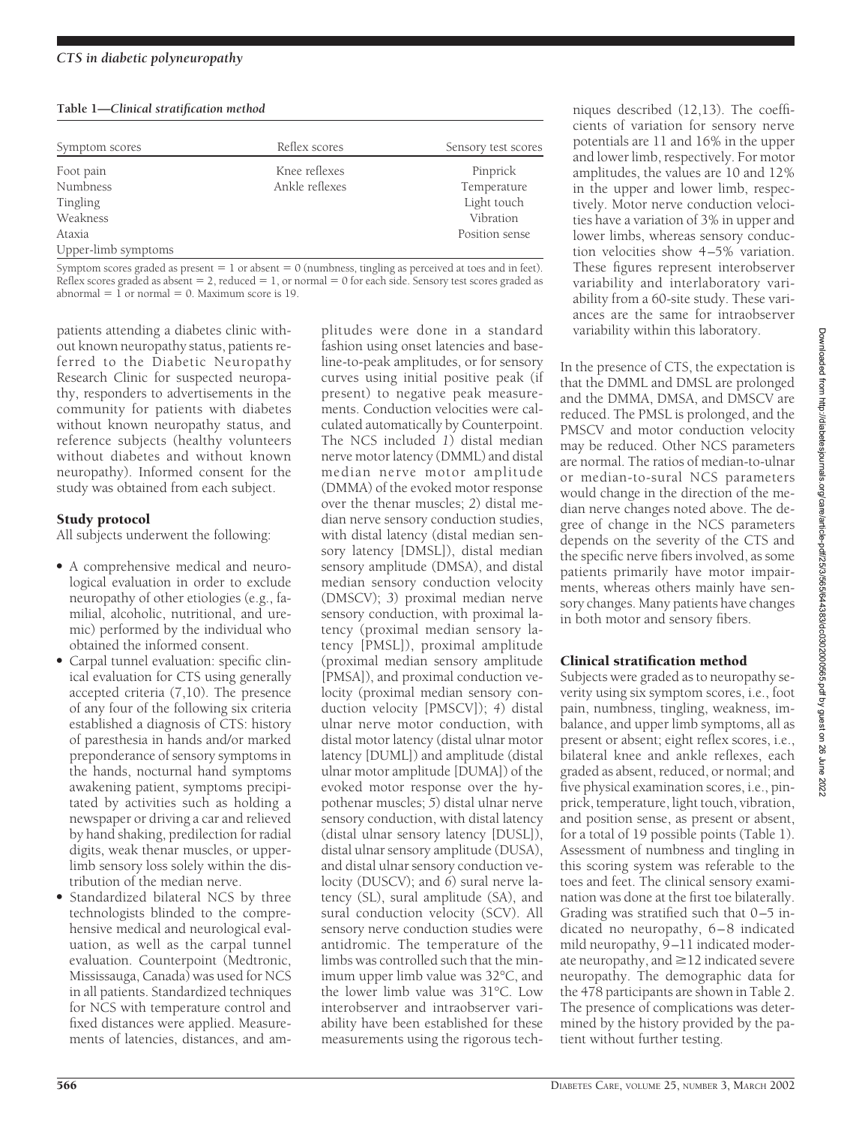| Symptom scores      | Reflex scores  | Sensory test scores |
|---------------------|----------------|---------------------|
| Foot pain           | Knee reflexes  | Pinprick            |
| <b>Numbness</b>     | Ankle reflexes | Temperature         |
| Tingling            |                | Light touch         |
| Weakness            |                | Vibration           |
| Ataxia              |                | Position sense      |
| Upper-limb symptoms |                |                     |

Symptom scores graded as present  $= 1$  or absent  $= 0$  (numbness, tingling as perceived at toes and in feet). Reflex scores graded as absent  $= 2$ , reduced  $= 1$ , or normal  $= 0$  for each side. Sensory test scores graded as  $abnormal = 1$  or normal  $= 0$ . Maximum score is 19.

patients attending a diabetes clinic without known neuropathy status, patients referred to the Diabetic Neuropathy Research Clinic for suspected neuropathy, responders to advertisements in the community for patients with diabetes without known neuropathy status, and reference subjects (healthy volunteers without diabetes and without known neuropathy). Informed consent for the study was obtained from each subject.

### Study protocol

All subjects underwent the following:

- A comprehensive medical and neurological evaluation in order to exclude neuropathy of other etiologies (e.g., familial, alcoholic, nutritional, and uremic) performed by the individual who obtained the informed consent.
- Carpal tunnel evaluation: specific clinical evaluation for CTS using generally accepted criteria (7,10). The presence of any four of the following six criteria established a diagnosis of CTS: history of paresthesia in hands and/or marked preponderance of sensory symptoms in the hands, nocturnal hand symptoms awakening patient, symptoms precipitated by activities such as holding a newspaper or driving a car and relieved by hand shaking, predilection for radial digits, weak thenar muscles, or upperlimb sensory loss solely within the distribution of the median nerve.
- Standardized bilateral NCS by three technologists blinded to the comprehensive medical and neurological evaluation, as well as the carpal tunnel evaluation. Counterpoint (Medtronic, Mississauga, Canada) was used for NCS in all patients. Standardized techniques for NCS with temperature control and fixed distances were applied. Measurements of latencies, distances, and am-

plitudes were done in a standard fashion using onset latencies and baseline-to-peak amplitudes, or for sensory curves using initial positive peak (if present) to negative peak measurements. Conduction velocities were calculated automatically by Counterpoint. The NCS included *1*) distal median nerve motor latency (DMML) and distal median nerve motor amplitude (DMMA) of the evoked motor response over the thenar muscles; *2*) distal median nerve sensory conduction studies, with distal latency (distal median sensory latency [DMSL]), distal median sensory amplitude (DMSA), and distal median sensory conduction velocity (DMSCV); *3*) proximal median nerve sensory conduction, with proximal latency (proximal median sensory latency [PMSL]), proximal amplitude (proximal median sensory amplitude [PMSA]), and proximal conduction velocity (proximal median sensory conduction velocity [PMSCV]); *4*) distal ulnar nerve motor conduction, with distal motor latency (distal ulnar motor latency [DUML]) and amplitude (distal ulnar motor amplitude [DUMA]) of the evoked motor response over the hypothenar muscles; *5*) distal ulnar nerve sensory conduction, with distal latency (distal ulnar sensory latency [DUSL]), distal ulnar sensory amplitude (DUSA), and distal ulnar sensory conduction velocity (DUSCV); and *6*) sural nerve latency (SL), sural amplitude (SA), and sural conduction velocity (SCV). All sensory nerve conduction studies were antidromic. The temperature of the limbs was controlled such that the minimum upper limb value was 32°C, and the lower limb value was 31°C. Low interobserver and intraobserver variability have been established for these measurements using the rigorous techniques described (12,13). The coefficients of variation for sensory nerve potentials are 11 and 16% in the upper and lower limb, respectively. For motor amplitudes, the values are 10 and 12% in the upper and lower limb, respectively. Motor nerve conduction velocities have a variation of 3% in upper and lower limbs, whereas sensory conduction velocities show 4–5% variation. These figures represent interobserver variability and interlaboratory variability from a 60-site study. These variances are the same for intraobserver variability within this laboratory.

In the presence of CTS, the expectation is that the DMML and DMSL are prolonged and the DMMA, DMSA, and DMSCV are reduced. The PMSL is prolonged, and the PMSCV and motor conduction velocity may be reduced. Other NCS parameters are normal. The ratios of median-to-ulnar or median-to-sural NCS parameters would change in the direction of the median nerve changes noted above. The degree of change in the NCS parameters depends on the severity of the CTS and the specific nerve fibers involved, as some patients primarily have motor impairments, whereas others mainly have sensory changes. Many patients have changes in both motor and sensory fibers.

## Clinical stratification method

Subjects were graded as to neuropathy severity using six symptom scores, i.e., foot pain, numbness, tingling, weakness, imbalance, and upper limb symptoms, all as present or absent; eight reflex scores, i.e., bilateral knee and ankle reflexes, each graded as absent, reduced, or normal; and five physical examination scores, i.e., pinprick, temperature, light touch, vibration, and position sense, as present or absent, for a total of 19 possible points (Table 1). Assessment of numbness and tingling in this scoring system was referable to the toes and feet. The clinical sensory examination was done at the first toe bilaterally. Grading was stratified such that 0–5 indicated no neuropathy, 6-8 indicated mild neuropathy, 9–11 indicated moderate neuropathy, and  $\geq$  12 indicated severe neuropathy. The demographic data for the 478 participants are shown in Table 2. The presence of complications was determined by the history provided by the patient without further testing.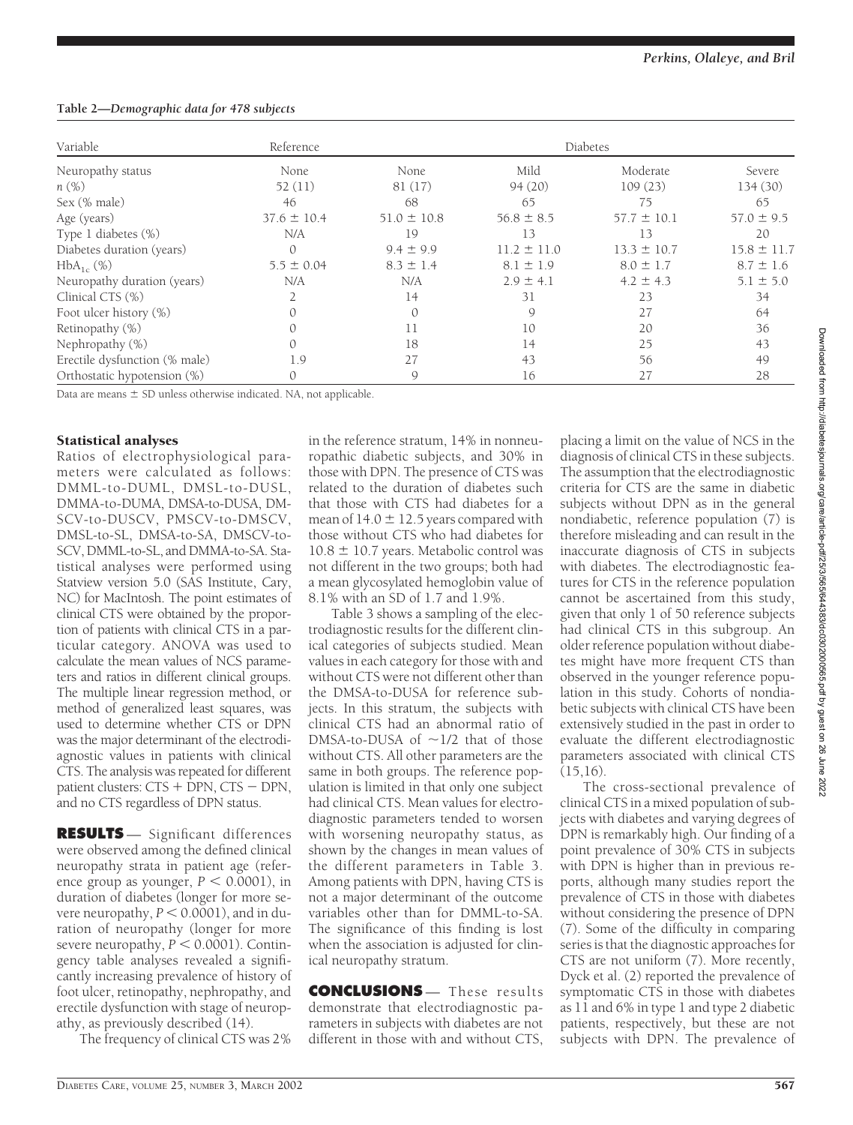| Variable                      | Reference       |                 |                 | Diabetes        |                 |
|-------------------------------|-----------------|-----------------|-----------------|-----------------|-----------------|
| Neuropathy status             | None            | None            | Mild            | Moderate        | Severe          |
| n(%)                          | 52(11)          | 81 (17)         | 94(20)          | 109(23)         | 134(30)         |
| Sex (% male)                  | 46              | 68              | 65              | 75              | 65              |
| Age (years)                   | $37.6 \pm 10.4$ | $51.0 \pm 10.8$ | $56.8 \pm 8.5$  | $57.7 \pm 10.1$ | $57.0 \pm 9.5$  |
| Type 1 diabetes (%)           | N/A             | 19              | 13              | 13              | 20              |
| Diabetes duration (years)     | $\Omega$        | $9.4 \pm 9.9$   | $11.2 \pm 11.0$ | $13.3 \pm 10.7$ | $15.8 \pm 11.7$ |
| $HbA_{1c}$ (%)                | $5.5 \pm 0.04$  | $8.3 \pm 1.4$   | $8.1 \pm 1.9$   | $8.0 \pm 1.7$   | $8.7 \pm 1.6$   |
| Neuropathy duration (years)   | N/A             | N/A             | $2.9 \pm 4.1$   | $4.2 \pm 4.3$   | $5.1 \pm 5.0$   |
| Clinical CTS $(\%)$           |                 | 14              | 31              | 23              | 34              |
| Foot ulcer history (%)        |                 | $\Omega$        | 9               | 27              | 64              |
| Retinopathy (%)               |                 | 11              | 10              | 20              | 36              |
| Nephropathy $(\%)$            | 0               | 18              | 14              | 25              | 43              |
| Erectile dysfunction (% male) | 1.9             | 27              | 43              | 56              | 49              |
| Orthostatic hypotension (%)   |                 | 9               | 16              | 27              | 28              |

### **Table 2—***Demographic data for 478 subjects*

Data are means  $\pm$  SD unless otherwise indicated. NA, not applicable.

## Statistical analyses

Ratios of electrophysiological parameters were calculated as follows: DMML-to-DUML, DMSL-to-DUSL, DMMA-to-DUMA, DMSA-to-DUSA, DM-SCV-to-DUSCV, PMSCV-to-DMSCV, DMSL-to-SL, DMSA-to-SA, DMSCV-to-SCV, DMML-to-SL, and DMMA-to-SA. Statistical analyses were performed using Statview version 5.0 (SAS Institute, Cary, NC) for MacIntosh. The point estimates of clinical CTS were obtained by the proportion of patients with clinical CTS in a particular category. ANOVA was used to calculate the mean values of NCS parameters and ratios in different clinical groups. The multiple linear regression method, or method of generalized least squares, was used to determine whether CTS or DPN was the major determinant of the electrodiagnostic values in patients with clinical CTS. The analysis was repeated for different patient clusters:  $CTS + DPN$ ,  $CTS - DPN$ , and no CTS regardless of DPN status.

**RESULTS** — Significant differences were observed among the defined clinical neuropathy strata in patient age (reference group as younger,  $P < 0.0001$ ), in duration of diabetes (longer for more severe neuropathy,  $P \le 0.0001$ ), and in duration of neuropathy (longer for more severe neuropathy,  $P < 0.0001$ ). Contingency table analyses revealed a significantly increasing prevalence of history of foot ulcer, retinopathy, nephropathy, and erectile dysfunction with stage of neuropathy, as previously described (14).

The frequency of clinical CTS was 2%

in the reference stratum, 14% in nonneuropathic diabetic subjects, and 30% in those with DPN. The presence of CTS was related to the duration of diabetes such that those with CTS had diabetes for a mean of  $14.0 \pm 12.5$  years compared with those without CTS who had diabetes for  $10.8 \pm 10.7$  years. Metabolic control was not different in the two groups; both had a mean glycosylated hemoglobin value of 8.1% with an SD of 1.7 and 1.9%.

Table 3 shows a sampling of the electrodiagnostic results for the different clinical categories of subjects studied. Mean values in each category for those with and without CTS were not different other than the DMSA-to-DUSA for reference subjects. In this stratum, the subjects with clinical CTS had an abnormal ratio of DMSA-to-DUSA of  $\sim$  1/2 that of those without CTS. All other parameters are the same in both groups. The reference population is limited in that only one subject had clinical CTS. Mean values for electrodiagnostic parameters tended to worsen with worsening neuropathy status, as shown by the changes in mean values of the different parameters in Table 3. Among patients with DPN, having CTS is not a major determinant of the outcome variables other than for DMML-to-SA. The significance of this finding is lost when the association is adjusted for clinical neuropathy stratum.

**CONCLUSIONS** — These results demonstrate that electrodiagnostic parameters in subjects with diabetes are not different in those with and without CTS, placing a limit on the value of NCS in the diagnosis of clinical CTS in these subjects. The assumption that the electrodiagnostic criteria for CTS are the same in diabetic subjects without DPN as in the general nondiabetic, reference population (7) is therefore misleading and can result in the inaccurate diagnosis of CTS in subjects with diabetes. The electrodiagnostic features for CTS in the reference population cannot be ascertained from this study, given that only 1 of 50 reference subjects had clinical CTS in this subgroup. An older reference population without diabetes might have more frequent CTS than observed in the younger reference population in this study. Cohorts of nondiabetic subjects with clinical CTS have been extensively studied in the past in order to evaluate the different electrodiagnostic parameters associated with clinical CTS  $(15,16)$ .

The cross-sectional prevalence of clinical CTS in a mixed population of subjects with diabetes and varying degrees of DPN is remarkably high. Our finding of a point prevalence of 30% CTS in subjects with DPN is higher than in previous reports, although many studies report the prevalence of CTS in those with diabetes without considering the presence of DPN (7). Some of the difficulty in comparing series is that the diagnostic approaches for CTS are not uniform (7). More recently, Dyck et al. (2) reported the prevalence of symptomatic CTS in those with diabetes as 11 and 6% in type 1 and type 2 diabetic patients, respectively, but these are not subjects with DPN. The prevalence of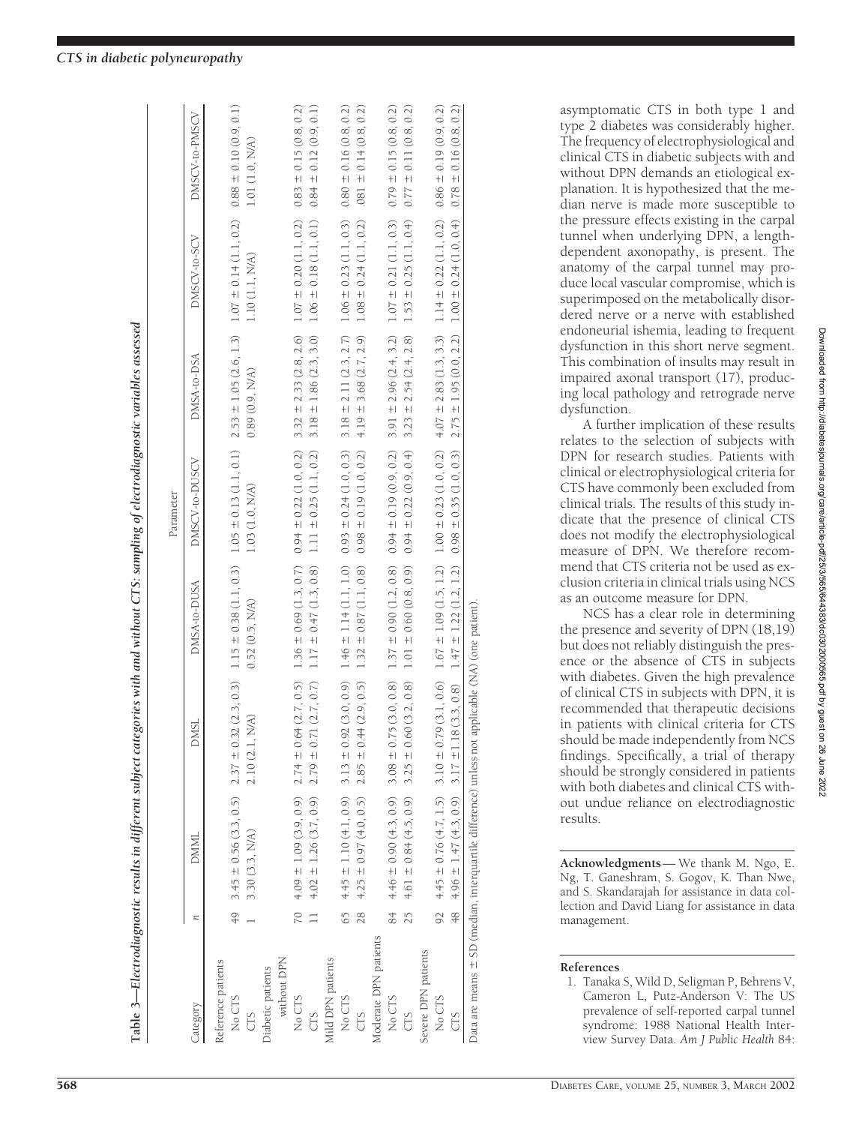Table 3—Electrodiagnostic results in different subject categories with and without CTS: sampling of electrodiagnostic variables assessed

—Electrodiagnostic results in different subject categories with and without CTS: sampling of electrodiagnostic variables assessed

|                       |    |                                                                   |                                                                            |                               | Parameter                    |                              |                            |                              |
|-----------------------|----|-------------------------------------------------------------------|----------------------------------------------------------------------------|-------------------------------|------------------------------|------------------------------|----------------------------|------------------------------|
| Category              | n  | DMML                                                              | DMSI                                                                       | DMSA-to-DUSA                  | DMSCV-to-DUSCV               | DMSA-to-DSA                  | DMSCV-to-SCV               | DMSCV-to-PMSCV               |
| Reference patients    |    |                                                                   |                                                                            |                               |                              |                              |                            |                              |
| No CTS                |    |                                                                   | 49 $3.45 \pm 0.56$ (3.3, 0.5) $2.37 \pm 0.32$ (2.3, 0.3)                   | $1.15 \pm 0.38$ (1.1, 0.3)    | $1.05 \pm 0.13$ (1.1, 0.1)   | $2.53 \pm 1.05$ (2.6, 1.3)   | $1.07 \pm 0.14$ (1.1, 0.2) | $0.88 \pm 0.10 (0.9, 0.1)$   |
| CTS                   |    | $1 - 3.30(3.3, N/A)$                                              | N(A)<br>2.10(2.1,                                                          | 0.52(0.5, N/A)                | 1.03 (1.0, N/A)              | 0.89(0.9, N/A)               | $1.10(1.1, N/A)$           | 1.01 (1.0, N/A)              |
| Diabetic patients     |    |                                                                   |                                                                            |                               |                              |                              |                            |                              |
| without DPN           |    |                                                                   |                                                                            |                               |                              |                              |                            |                              |
| No CTS                |    |                                                                   | 70 $4.09 \pm 1.09$ (3.9, 0.9) $2.74 \pm 0.64$ (2.7, 0.5)                   | $1.36 \pm 0.69$ (1.3, 0.7)    | $0.94 \pm 0.22$ $(1.0, 0.2)$ | $3.32 \pm 2.33$ (2.8, 2.6)   | $1.07 \pm 0.20$ (1.1, 0.2) | $0.83 \pm 0.15$ (0.8, 0.2)   |
| CTS                   |    | $4.02 \pm 1.26$ (3.7, 0.9)                                        | $2.79 \pm 0.71$ $(2.7, 0.7)$                                               | $1.17 \pm 0.47$ (1.3, 0.8)    | $1.11 \pm 0.25(1.1, 0.2)$    | $3.18 \pm 1.86$ (2.3, 3.0)   | $1.06 \pm 0.18$ (1.1, 0.1) | $0.84 \pm 0.12$ (0.9, 0.1)   |
| Mild DPN patients     |    |                                                                   |                                                                            |                               |                              |                              |                            |                              |
| No CTS                |    | 65 $4.45 \pm 1.10 (4.1, 0.9)$ 3.13 $\pm$ 0.92 (3.0, 0.9)          |                                                                            | $1.46 \pm 1.14$ (1.1, 1.0)    | $0.93 \pm 0.24 (1.0, 0.3)$   | $3.18 \pm 2.11$ $(2.3, 2.7)$ | $1.06 \pm 0.23$ (1.1, 0.3) | $0.80 \pm 0.16$ (0.8, 0.2)   |
| CTS                   | 28 | $4.25 \pm 0.97$ (4.0, 0.5)                                        | $2.85 \pm 0.44 (2.9, 0.5)$                                                 | $1.32 \pm 0.87$ (1.1, 0.8)    | $0.98 \pm 0.19$ (1.0, 0.2)   | $4.19 \pm 3.68$ (2.7, 2.9)   | $1.08 \pm 0.24$ (1.1, 0.2) | $.081 \pm 0.14$ (0.8, 0.2)   |
| Moderate DPN patients |    |                                                                   |                                                                            |                               |                              |                              |                            |                              |
| No CTS                |    |                                                                   | 84 4.46 ± 0.90 (4.3, 0.9) 3.08 ± 0.75 (3.0, 0.8)                           | $1.37 \pm 0.90$ (1.2, 0.8)    | $0.94 \pm 0.19$ (0.9, 0.2)   | $3.91 \pm 2.96$ (2.4, 3.2)   | $1.07 \pm 0.21$ (1.1, 0.3) | $0.79 \pm 0.15$ (0.8, 0.2)   |
| <b>CTS</b>            |    | $25$ 4.61 $\pm$ 0.84 (4.5, 0.9)                                   | $3.25 \pm 0.60$ (3.2, 0.8)                                                 | $1.01 \pm 0.60$ (0.8, 0.9)    | $0.94 \pm 0.22$ $(0.9, 0.4)$ | $3.23 \pm 2.54$ (2.4, 2.8)   | $1.53 \pm 0.25$ (1.1, 0.4) | $0.77 \pm 0.11$ (0.8, 0.2)   |
| Severe DPN patients   |    |                                                                   |                                                                            |                               |                              |                              |                            |                              |
| No CTS                |    |                                                                   | 92  4.45 ± 0.76 (4.7, 1.5)  3.10 ± 0.79 (3.1, 0.6)  1.67 ± 1.09 (1.5, 1.2) |                               | $1.00 \pm 0.23$ (1.0, 0.2)   | $4.07 \pm 2.83$ (1.3, 3.3)   | $1.14 \pm 0.22$ (1.1, 0.2) | $0.86 \pm 0.19$ $(0.9, 0.2)$ |
| CTS                   | 48 | $4.96 \pm 1.47 \ (4.3, 0.9)$ 3.17 $\pm$ 1.1                       | 8(3.3, 0.8)                                                                | $1.47 \pm 1.22$ (1.2, 1.2)    | $0.98 \pm 0.35$ (1.0, 0.3)   | $2.75 \pm 1.95 (0.0, 2.2)$   | $1.00 \pm 0.24(1.0, 0.4)$  | $0.78 \pm 0.16$ (0.8, 0.2)   |
|                       |    | Data are means ± SD (median, interquartile difference) unless not |                                                                            | applicable (NA) (one patient) |                              |                              |                            |                              |

asymptomatic CTS in both type 1 and type 2 diabetes was considerably higher. The frequency of electrophysiological and clinical CTS in diabetic subjects with and without DPN demands an etiological explanation. It is hypothesized that the median nerve is made more susceptible to the pressure effects existing in the carpal tunnel when underlying DPN, a lengthdependent axonopathy, is present. The anatomy of the carpal tunnel may produce local vascular compromise, which is superimposed on the metabolically disordered nerve or a nerve with established endoneurial ishemia, leading to frequent dysfunction in this short nerve segment. This combination of insults may result in impaired axonal transport (17), producing local pathology and retrograde nerve dysfunction.

A further implication of these results relates to the selection of subjects with DPN for research studies. Patients with clinical or electrophysiological criteria for CTS have commonly been excluded from clinical trials. The results of this study indicate that the presence of clinical CTS does not modify the electrophysiological measure of DPN. We therefore recommend that CTS criteria not be used as exclusion criteria in clinical trials using NCS as an outcome measure for DPN.

NCS has a clear role in determining the presence and severity of DPN (18,19) but does not reliably distinguish the presence or the absence of CTS in subjects with diabetes. Given the high prevalence of clinical CTS in subjects with DPN, it is recommended that therapeutic decisions in patients with clinical criteria for CTS should be made independently from NCS findings. Specifically, a trial of therapy should be strongly considered in patients with both diabetes and clinical CTS without undue reliance on electrodiagnostic results.

**Acknowledgments** — We thank M. Ngo, E. Ng, T. Ganeshram, S. Gogov, K. Than Nwe, and S. Skandarajah for assistance in data collection and David Liang for assistance in data management.

#### **References**

1. Tanaka S, Wild D, Seligman P, Behrens V, Cameron L, Putz-Anderson V: The US prevalence of self-reported carpal tunnel syndrome: 1988 National Health Interview Survey Data. *Am J Public Health* 84: